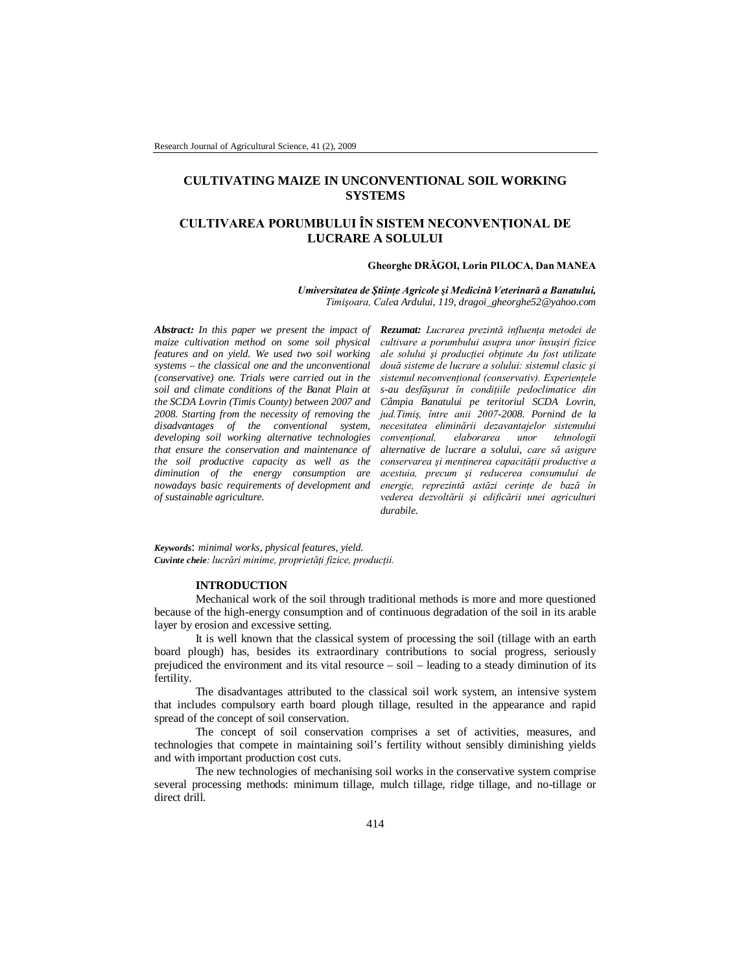## **CULTIVATING MAIZE IN UNCONVENTIONAL SOIL WORKING SYSTEMS**

# **CULTIVAREA PORUMBULUI ÎN SISTEM NECONVENŢIONAL DE LUCRARE A SOLULUI**

#### **Gheorghe DRĂGOI, Lorin PILOCA, Dan MANEA**

*Umiversitatea de Ştiinţe Agricole şi Medicină Veterinară a Banatului, Timişoara, Calea Ardului, 119, dragoi\_gheorghe52@yahoo.com*

*Abstract: In this paper we present the impact of maize cultivation method on some soil physical features and on yield. We used two soil working systems – the classical one and the unconventional (conservative) one. Trials were carried out in the soil and climate conditions of the Banat Plain at the SCDA Lovrin (Timis County) between 2007 and 2008. Starting from the necessity of removing the disadvantages of the conventional system, developing soil working alternative technologies that ensure the conservation and maintenance of the soil productive capacity as well as the diminution of the energy consumption are nowadays basic requirements of development and of sustainable agriculture.*

*Rezumat: Lucrarea prezintă influenţa metodei de cultivare a porumbului asupra unor însuşiri fizice ale solului şi producţiei obţinute Au fost utilizate două sisteme de lucrare a solului: sistemul clasic şi sistemul neconvenţional (conservativ). Experienţele s-au desfăşurat în condiţiile pedoclimatice din Câmpia Banatului pe teritoriul SCDA Lovrin, jud.Timiş, între anii 2007-2008. Pornind de la necesitatea eliminării dezavantajelor sistemului convenţional, elaborarea unor tehnologii alternative de lucrare a solului, care să asigure conservarea şi menţinerea capacităţii productive a acestuia, precum şi reducerea consumului de energie, reprezintă astăzi cerinţe de bază în vederea dezvoltării şi edificării unei agriculturi durabile.*

*Keywords*: *minimal works, physical features, yield. Cuvinte cheie: lucrări minime, proprietăţi fizice, producţii.*

## **INTRODUCTION**

Mechanical work of the soil through traditional methods is more and more questioned because of the high-energy consumption and of continuous degradation of the soil in its arable layer by erosion and excessive setting.

It is well known that the classical system of processing the soil (tillage with an earth board plough) has, besides its extraordinary contributions to social progress, seriously prejudiced the environment and its vital resource – soil – leading to a steady diminution of its fertility.

The disadvantages attributed to the classical soil work system, an intensive system that includes compulsory earth board plough tillage, resulted in the appearance and rapid spread of the concept of soil conservation.

The concept of soil conservation comprises a set of activities, measures, and technologies that compete in maintaining soil's fertility without sensibly diminishing yields and with important production cost cuts.

The new technologies of mechanising soil works in the conservative system comprise several processing methods: minimum tillage, mulch tillage, ridge tillage, and no-tillage or direct drill.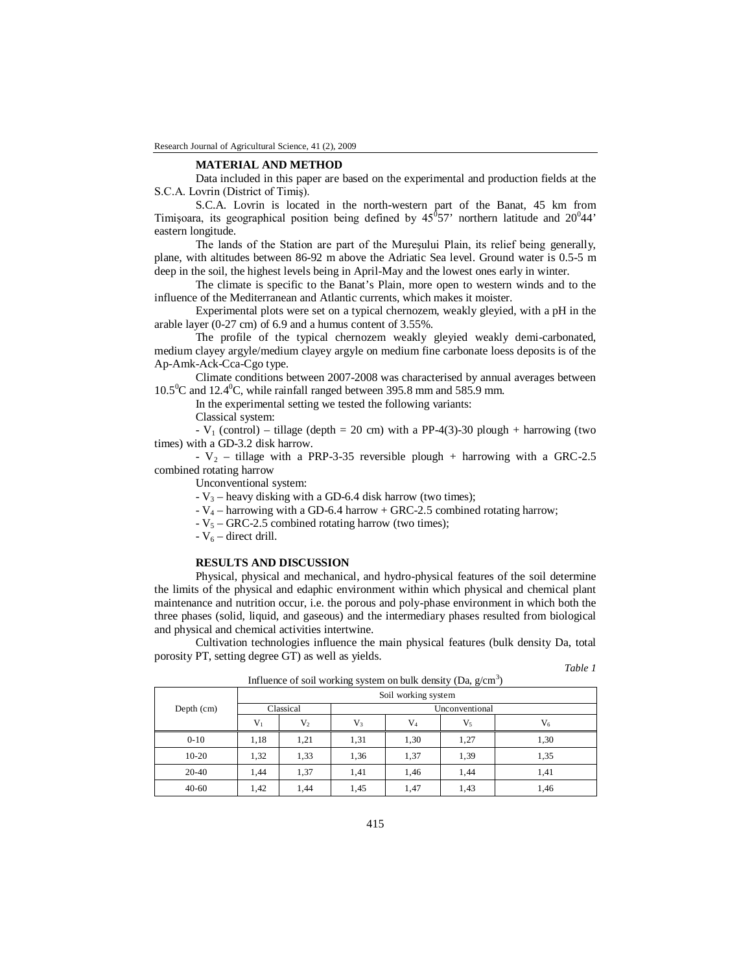#### **MATERIAL AND METHOD**

Data included in this paper are based on the experimental and production fields at the S.C.A. Lovrin (District of Timiş).

S.C.A. Lovrin is located in the north-western part of the Banat, 45 km from Timișoara, its geographical position being defined by  $45^{\circ}57'$  northern latitude and  $20^{\circ}44'$ eastern longitude.

The lands of the Station are part of the Mureşului Plain, its relief being generally, plane, with altitudes between 86-92 m above the Adriatic Sea level. Ground water is 0.5-5 m deep in the soil, the highest levels being in April-May and the lowest ones early in winter.

The climate is specific to the Banat's Plain, more open to western winds and to the influence of the Mediterranean and Atlantic currents, which makes it moister.

Experimental plots were set on a typical chernozem, weakly gleyied, with a pH in the arable layer (0-27 cm) of 6.9 and a humus content of 3.55%.

The profile of the typical chernozem weakly gleyied weakly demi-carbonated, medium clayey argyle/medium clayey argyle on medium fine carbonate loess deposits is of the Ap-Amk-Ack-Cca-Cgo type.

Climate conditions between 2007-2008 was characterised by annual averages between  $10.5^{\circ}$ C and  $12.4^{\circ}$ C, while rainfall ranged between 395.8 mm and 585.9 mm.

In the experimental setting we tested the following variants:

Classical system:

- V<sub>1</sub> (control) – tillage (depth = 20 cm) with a PP-4(3)-30 plough + harrowing (two times) with a GD-3.2 disk harrow.

-  $V_2$  – tillage with a PRP-3-35 reversible plough + harrowing with a GRC-2.5 combined rotating harrow

Unconventional system:

 $-V_3$  – heavy disking with a GD-6.4 disk harrow (two times);

 $-V_4$  – harrowing with a GD-6.4 harrow + GRC-2.5 combined rotating harrow;

 $-V_5 - GRC-2.5$  combined rotating harrow (two times);

 $-V_6$  – direct drill.

### **RESULTS AND DISCUSSION**

Physical, physical and mechanical, and hydro-physical features of the soil determine the limits of the physical and edaphic environment within which physical and chemical plant maintenance and nutrition occur, i.e. the porous and poly-phase environment in which both the three phases (solid, liquid, and gaseous) and the intermediary phases resulted from biological and physical and chemical activities intertwine.

Cultivation technologies influence the main physical features (bulk density Da, total porosity PT, setting degree GT) as well as yields.

|              | Influence of soil working system on bulk density (Da, $g/cm3$ ) |      |                |           |         |      |  |  |
|--------------|-----------------------------------------------------------------|------|----------------|-----------|---------|------|--|--|
|              | Soil working system                                             |      |                |           |         |      |  |  |
| Depth $(cm)$ | Classical                                                       |      | Unconventional |           |         |      |  |  |
|              | $V_{1}$                                                         | V,   | V <sub>3</sub> | $\rm V_4$ | $V_{5}$ | V,   |  |  |
| $0 - 10$     | 1,18                                                            | 1,21 | 1,31           | 1,30      | 1,27    | 1,30 |  |  |
| $10-20$      | 1,32                                                            | 1,33 | 1,36           | 1,37      | 1,39    | 1,35 |  |  |
| $20-40$      | 1.44                                                            | 1,37 | 1,41           | 1,46      | 1.44    | 1,41 |  |  |
| $40 - 60$    | 1,42                                                            | 1.44 | 1,45           | 1,47      | 1,43    | 1,46 |  |  |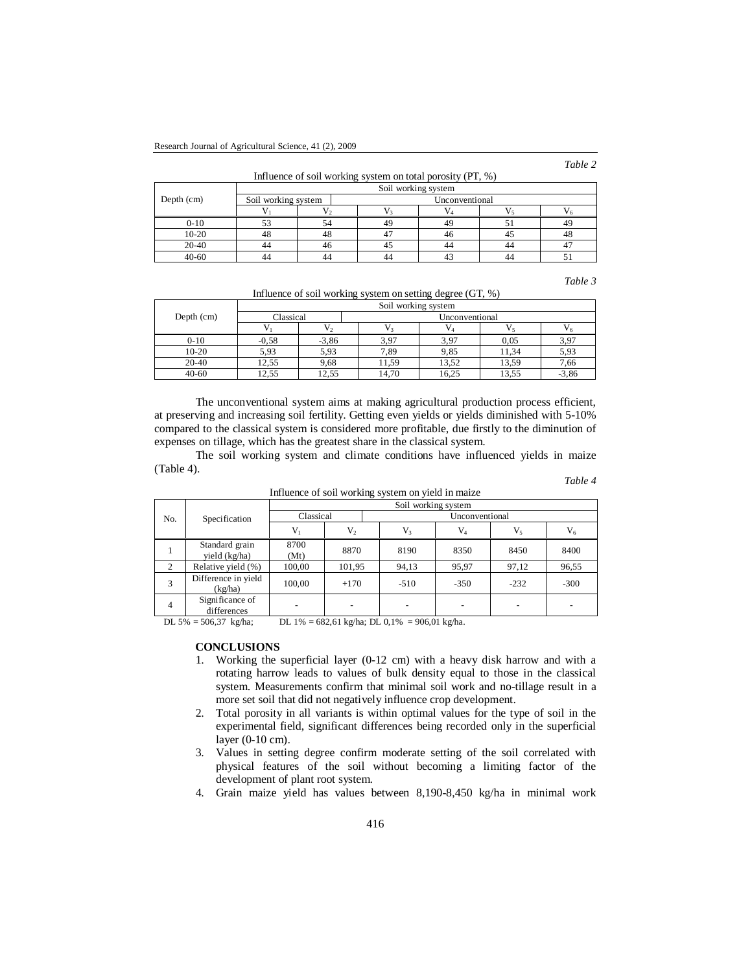*Table 2*

| Influence of soil working system on total porosity $(PT, %)$ |                     |                         |  |  |  |  |
|--------------------------------------------------------------|---------------------|-------------------------|--|--|--|--|
|                                                              |                     | Soil working system     |  |  |  |  |
|                                                              | Soil working system | <b>I</b> Inconventional |  |  |  |  |

| Depth (cm) | Soil working system |    | Unconventional |    |  |            |  |  |
|------------|---------------------|----|----------------|----|--|------------|--|--|
|            |                     |    |                |    |  |            |  |  |
| 0-10       |                     |    | 49             | 4ç |  | 40         |  |  |
| 10-20      | 48                  | 40 |                | 46 |  | - 4ω       |  |  |
| 20-40      | 44                  |    |                | 44 |  |            |  |  |
| 40-60      | 44                  |    | 44             |    |  | <u>. .</u> |  |  |

*Table 3*

Influence of soil working system on setting degree (GT, %)

|              | Soil working system |         |                |       |       |         |  |  |
|--------------|---------------------|---------|----------------|-------|-------|---------|--|--|
| Depth $(cm)$ | Classical           |         | Unconventional |       |       |         |  |  |
|              |                     |         |                |       |       |         |  |  |
| $0 - 10$     | $-0.58$             | $-3,86$ | 3,97           | 3,97  | 0.05  | 3,97    |  |  |
| $10-20$      | 5,93                | 5,93    | 7,89           | 9,85  | 11.34 | 5,93    |  |  |
| $20-40$      | 12,55               | 9,68    | 11.59          | 13,52 | 13,59 | 7,66    |  |  |
| $40 - 60$    | 12.55               | 12,55   | 14.70          | 16,25 | 13,55 | $-3,86$ |  |  |

The unconventional system aims at making agricultural production process efficient, at preserving and increasing soil fertility. Getting even yields or yields diminished with 5-10% compared to the classical system is considered more profitable, due firstly to the diminution of expenses on tillage, which has the greatest share in the classical system.

The soil working system and climate conditions have influenced yields in maize (Table 4). *Table 4*

|                |                                 |                     |         | Influence of soil working system on yield in maize |         |         |        |  |
|----------------|---------------------------------|---------------------|---------|----------------------------------------------------|---------|---------|--------|--|
|                |                                 | Soil working system |         |                                                    |         |         |        |  |
| No.            | Specification                   | Classical           |         | Unconventional                                     |         |         |        |  |
|                |                                 | V,                  | $V_{2}$ | V <sub>3</sub>                                     | $V_{A}$ | $V_{5}$ | $V_6$  |  |
|                | Standard grain<br>yield (kg/ha) | 8700<br>(Mt)        | 8870    | 8190                                               | 8350    | 8450    | 8400   |  |
| 2              | Relative yield (%)              | 100,00              | 101,95  | 94,13                                              | 95,97   | 97,12   | 96,55  |  |
| 3              | Difference in yield<br>(kg/ha)  | 100.00              | $+170$  | $-510$                                             | $-350$  | $-232$  | $-300$ |  |
| $\overline{4}$ | Significance of<br>differences  |                     |         |                                                    |         |         |        |  |

DL 5% = 506,37 kg/ha; DL 1% = 682,61 kg/ha; DL 0,1% = 906,01 kg/ha.

## **CONCLUSIONS**

- 1. Working the superficial layer (0-12 cm) with a heavy disk harrow and with a rotating harrow leads to values of bulk density equal to those in the classical system. Measurements confirm that minimal soil work and no-tillage result in a more set soil that did not negatively influence crop development.
- 2. Total porosity in all variants is within optimal values for the type of soil in the experimental field, significant differences being recorded only in the superficial layer (0-10 cm).
- 3. Values in setting degree confirm moderate setting of the soil correlated with physical features of the soil without becoming a limiting factor of the development of plant root system.
- 4. Grain maize yield has values between 8,190-8,450 kg/ha in minimal work